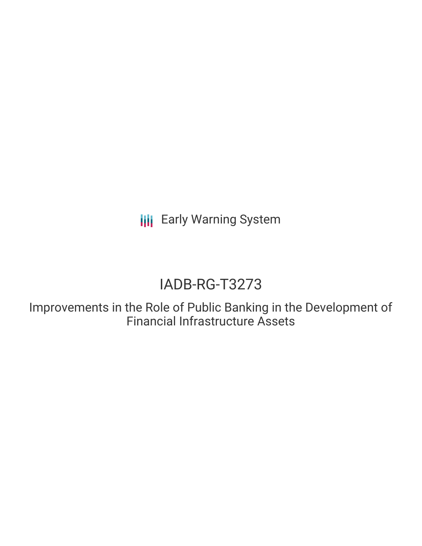**III** Early Warning System

# IADB-RG-T3273

Improvements in the Role of Public Banking in the Development of Financial Infrastructure Assets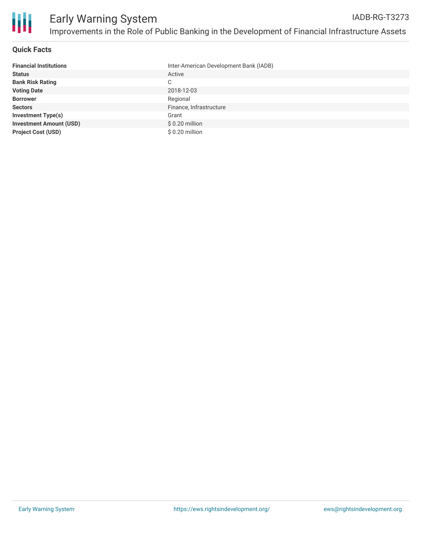

### **Quick Facts**

| <b>Financial Institutions</b>  | Inter-American Development Bank (IADB) |
|--------------------------------|----------------------------------------|
| <b>Status</b>                  | Active                                 |
| <b>Bank Risk Rating</b>        | C                                      |
| <b>Voting Date</b>             | 2018-12-03                             |
| <b>Borrower</b>                | Regional                               |
| <b>Sectors</b>                 | Finance, Infrastructure                |
| <b>Investment Type(s)</b>      | Grant                                  |
| <b>Investment Amount (USD)</b> | $$0.20$ million                        |
| <b>Project Cost (USD)</b>      | $$0.20$ million                        |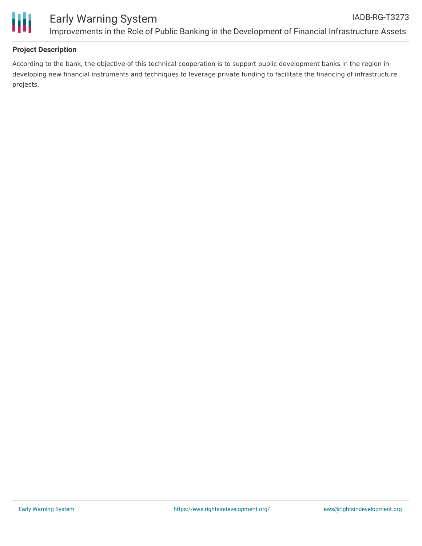

# **Project Description**

According to the bank, the objective of this technical cooperation is to support public development banks in the region in developing new financial instruments and techniques to leverage private funding to facilitate the financing of infrastructure projects.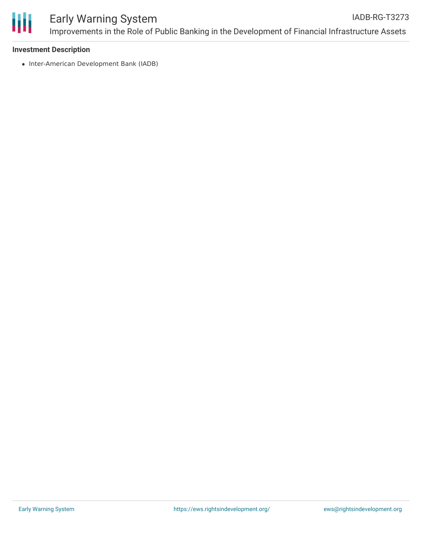

#### **Investment Description**

• Inter-American Development Bank (IADB)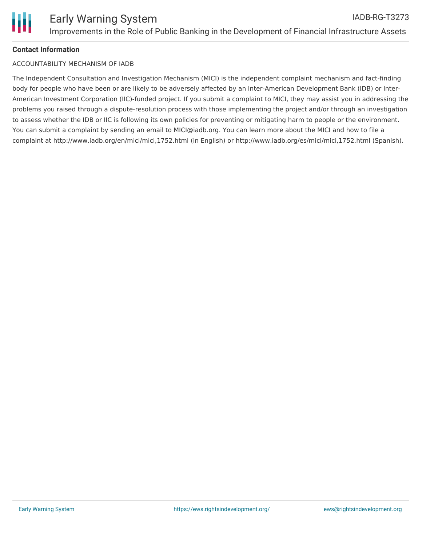# **Contact Information**

## ACCOUNTABILITY MECHANISM OF IADB

The Independent Consultation and Investigation Mechanism (MICI) is the independent complaint mechanism and fact-finding body for people who have been or are likely to be adversely affected by an Inter-American Development Bank (IDB) or Inter-American Investment Corporation (IIC)-funded project. If you submit a complaint to MICI, they may assist you in addressing the problems you raised through a dispute-resolution process with those implementing the project and/or through an investigation to assess whether the IDB or IIC is following its own policies for preventing or mitigating harm to people or the environment. You can submit a complaint by sending an email to MICI@iadb.org. You can learn more about the MICI and how to file a complaint at http://www.iadb.org/en/mici/mici,1752.html (in English) or http://www.iadb.org/es/mici/mici,1752.html (Spanish).